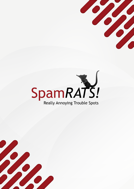



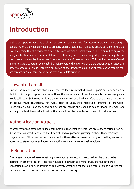

### **Introduction**

Mail server operators face the challenge of securing communication for Internet users and are in a unique position where they not only need to properly classify legitimate marketing email, but also thwart the ever increasing threat activity from bad actors and criminals. Email accounts are required to enjoy the many applications and services the Internet has to offer, and the increasing adoption and integration of the Internet to everyday life further increases the value of these accounts. This catches the eye of email marketers and bad actors, overwhelming mail servers with unwanted email and authentication attacks in order to access this value. Effective mitigation of the unwanted email and authentication attacks that are threatening mail servers can be achieved with IP Reputation.

#### Unwanted email

One of the major problems that email systems face is unwanted email. "Spam" has a very specific definition for legal purposes, and oftentimes this definition would exclude emails the average person would call Spam. So instead, we'll use the term unwanted email, which refers to email that the majority of people would realistically not want (such as unsolicited marketing, phishing, or malware). Unscrupulous email marketers and bad actors are behind the unending sea of unwanted email, and although the lawfulness behind their actions may differ the intended outcome is to make money.

#### Authentication Attacks

Another major but often not talked about problem that email systems face are authentication attacks. Authentication attacks are all of the different kinds of password guessing methods that commonly plague servers. All sorts of bad actors are behind these attacks, from criminal groups selling access to accounts to state-sponsored hackers conducting reconnaissance for their employers.

#### IP Reputation

The threats mentioned have something in common: a connection is required for the threat to be possible. In other words, an IP address will need to connect to a mail server, and this is where IP Reputation plays a role. IP Reputation can identify whether a connection is safe, or aid in ensuring that the connection falls within a specific criteria before allowing it.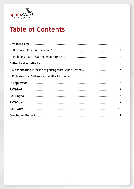

# **Table of Contents**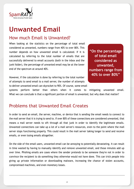<span id="page-3-0"></span>

### **Unwanted Email**

#### How much Email is Unwanted?

When looking at the statistics on the percentage of total email considered as unwanted, numbers range from 40% to over 80%. This number depends on how unwanted email is calculated. If it is calculated by referring to the total number of emails that are successfully delivered to email accounts (both in the inbox and the junk folder), the percentage of unwanted email may be at the lower end of the spectrum at around 40%.

However, if the calculation is done by referring to the total number of attempts to send email to a mail server, the number of attempts to deliver unwanted email can skyrocket to 90%. Of course, some email

**"On the percentage of total email considered as unwanted, numbers range from 40% to over 80%"**

systems perform better than others when it comes to mitigating unwanted email. What we can conclude is that a significant portion of email is unwanted, but why does that matter?

#### Problems that Unwanted Email Creates

In order to send an email, the server, machine, or device that is sending the email needs to connect to the mail server that it is trying to send to. If over 80% of these connections are considered unwanted, that means a mail server needs to sift through all that junk in order to identify the legitimate emails. Unwanted connections can take up a lot of a mail server's resources, even to the point where the mail server stops functioning properly. This could result in the mail server taking longer to send and receive emails, or even losing emails altogether.

On the side of the email users, unwanted email can be annoying to potentially devastating. It can result in time wasted by having to manually identify and remove unwanted email, and those minutes add up over time. Phishing emails are cases where the sender pretends to be someone they're not in order to convince the recipient to do something they otherwise would not have done. This can trick people into giving up private information or downloading malware, increasing the chance of stolen accounts, compromised machines, and even monetary losses.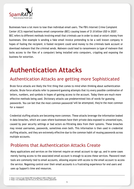<span id="page-4-0"></span>

Businesses have a lot more to lose than individual email users. The FBI's Internet Crime Complaint Center (IC3) reported business email compromise (BEC) causing losses of \$1.8 billion USD in 20201 . BEC refers to different methods involving email that criminals use in order to steal or extort money from businesses. One example is sending a fake email invoice pretending to be a well known company in hopes of fooling the recipient. A fooled recipient could send money to the criminals bank account or download malware that the criminal sends. Malware could lead to ransomware (a type of malware that locks access to the files of a computer) being installed onto computers, crippling and exposing the business for extortion.

### **Authentication Attacks**

#### Authentication Attacks are getting more Sophisticated

Brute force attacks are likely the first thing that comes to mind when thinking about authentication attacks. Brute force attacks refer to password guessing attempts that try every possible combination of letters, numbers, and symbols in hopes of gaining access to the account. Today there are much more effective methods being used. Dictionary attacks use predetermined lists of words for guessing passwords. You can bet that the most common passwords<sup>2</sup> will be attempted, they're the most common for a reason!

Credential stuffing attacks are becoming more common. These attacks leverage the information leaked in data breaches, which are cases where businesses have their private data exposed to unwanted eyes, caused by poor security settings or bad actors ex-filtrating data from their systems. These breaches may reveal usernames, passwords, sometimes even both. This information is then used in credential stuffing attacks, and they are extremely effective due to the common habit of reusing passwords across multiple accounts.

#### Problems that Authentication Attacks Create

Many applications and services on the Internet require an email account to sign up, and in some cases merely having access to the associated email account is enough to access these services. Password reset tools are commonly tied to email accounts, allowing anyone with access to the email account to access the service. Regaining control over their email accounts is a frustrating experience for end users and uses up Support's time and resources.

<sup>1 &</sup>lt;https://www.ic3.gov/Media/PDF/AnnualReport/2020\_IC3Report.pdf> 2 <https://en.wikipedia.org/wiki/List\_of\_the\_most\_common\_passwords>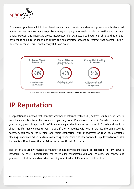<span id="page-5-0"></span>

Businesses again have a lot to lose. Email accounts can contain important and private emails which bad actors can use to their advantage. Proprietary company information could be ex-filtrated, private emails exposed, and important events intercepted. For example, a bad actor can observe that a large payment is about to be made and utilize the compromised account to redirect that payment into a different account. This is another way BEC $3$  can occur.



https://www.okta.com/resources/whitepaper/5-identity-attacks-that-exploit-your-broken-authentication/

## **IP Reputation**

IP Reputation is a method that identifies whether an Internet Protocol (IP) address is suitable, or safe, to accept a connection from. For example, if you only want IP addresses located in Canada to connect to your server, you could get the list of IPs containing all the IP addresses located in Canada and use it to check the IPs that connect to your server. If the IP matches with one in the list the connection is accepted. You can do the reverse, and reject connections with IP addresses on that list, essentially blocking Canadian IP addresses from connecting to your server. In other words, IP Reputation lists are lists that contain IP addresses that all fall under a specific set of criteria.

This criteria is usually related to whether or not connections should be accepted. For any server's individual use case, understanding the criteria for connections you want to allow and connections you want to block is important when deciding what kind of IP Reputation list to utilize.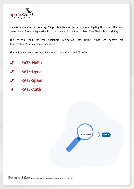

SpamRATS specializes in creating IP Reputation lists for the purpose of mitigating the threats that mail servers face. These IP Reputation lists are provided in the form of Real-Time Blackhole lists (RBLs).

The criteria used for the SpamRATS reputation lists reflect what we believe are 'Best Practices'<sup>4</sup> for mail server operators.

This whitepaper goes over four IP Reputation lists that SpamRATS offers:

- **RATS-NoPtr**
- **RATS-Dyna**
- **RATS-Spam**
- **RATS-Auth**

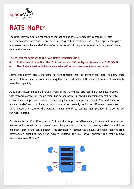<span id="page-7-0"></span>

## **RATS-NoPtr**

The RATS-NoPtr reputation list contains IPs that do not have a reverse DNS record (rDNS, also referred to as 'hostname' or 'PTR' record). Referring to 'Best Practices', the IP of a properly configured mail server should have a rDNS that reflects the domain of the party responsible for any emails being sent by that server.

**The criteria for additions to the RATS-NoPtr reputation list is:**

- **At the time of detection, the IP did not have a rDNS configured (shows up as 'NXDOMAIN')**
- **The IP attempted to deliver unwanted email, or to non-existent email accounts.**

Seeing this activity across the same network suggests that the provider for those IPs allow email to be sent from their network, something that can be disabled if they did not want just anybody to have that capability.

Aside from misconfigured mail servers, many of the IPs with no rDNS record are machines infected with malware capable of sending email. Bad actors, people involved in malicious internet activity, control these compromised machines often using them to send unwanted email. Why don't they just update the rDNS record to improve their chances of successfully sending email? In most cases they can't, because it requires the person assigned the IP to contact their provider in order to get the rDNS updated.

Our stance is that if an IP without a rDNS record attempts to deliver email, it should not be accepted. Before sending email, a mail server should be properly configured, and having a rDNS record is an important part of the configuration. This significantly reduces the amount of emails received from compromised machines. Once the rDNS is updated, the mail server operator can easily remove themselves from RATS-NoPtr.

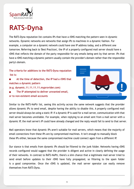<span id="page-8-0"></span>

## **RATS-Dyna**

The RATS-Dyna reputation list contains IPs that have a rDNS matching the pattern seen in dynamic networks. Dynamic networks are networks that assign IPs to machines in a dynamic fashion. For example, a computer on a dynamic network could have one IP address today, and a different one tomorrow. Referring back to 'Best Practices', the IP of a properly configured mail server should have a rDNS that reflects the domain of the party responsible for any emails being sent by that server. IPs that have a rDNS matching a dynamic pattern usually contain the provider's domain rather than the responsible party's domain.

**The criteria for additions to the RATS-Dyna reputation list is:**

- **At the time of detection, the IP had a rDNS that matches a dynamic pattern (e.g. dynamic.11.11.11.11.myprovider.com)**
- **The IP attempted to deliver unwanted email, or to non-existent email accounts**



Similar to the RATS-NoPtr list, seeing this activity across the same network suggests that the provider allows dynamic IPs to send email, despite having the ability to disable this. A properly configured mail server should always be using a static IP. If a dynamic IP is used for a mail server, communication with that mail server becomes unreliable. For example, when replying to an email sent from a mail server with a dynamic IP, the mail server's IP could have already changed and the reply would fail to send to that server.

Mail operators know that dynamic IPs aren't suitable for mail servers, which means that the majority of email connections from these IPs are by compromised machines. It isn't enough to manually block these IPs either, because the same compromised machine could connect again from a different IP.

Our stance is that emails from dynamic IPs should be filtered to the junk folder. Networks having rDNS records configured would suggest that the provider is diligent and active in clearly defining the usage of their networks. In contrast to RATS-NoPtr, there's a slim chance that a legitimate mail server tried to send email before updates to their rDNS have fully propagated, so filtering to the spam folder is a good compromise. Once the rDNS is updated, the mail server operator can easily remove themselves from RATS-Dyna.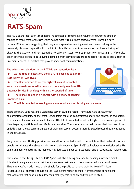

### **RATS-Spam**

The RATS-Spam reputation list contains IPs detected as sending high volumes of unwanted email or sending to many email addresses which do not exist within a short period of time. These IPs have custom rDNS records, suggesting that they are purposed for sending email and do not belong in the previously discussed reputation lists. A lot of this activity comes from networks that have a history of allowing this activity and not appearing to take any steps towards proactively mitigating it. We've also taken extensive precautions to avoid adding IPs from services that are considered "too big to block" such as Freemail services, or entities that provide important communications.

**The criteria for additions to the RATS-Spam reputation list is:**

- **At the time of detection, the IP's rDNS does not qualify for RATS-NoPtr or RATS-Dyna**
- **The IP attempted to deliver high volumes of unwanted email or non-existent email accounts across multiple unique ISPs (Internet Service Providers) within a short period of time**



 **The IP may belong in a network with a history of sending unwanted email**

 **The IP is detected as sending malicious email such as phishing and malware.**

There are many valid reasons a legitimate server could be listed. They could have an issue with compromised accounts, or the email server itself could be compromised and in the control of bad actors. It is common for any mail server to leak a little bit of unwanted email, but high volumes over a period of time targeting multiple unique ISPs is unacceptable. The operator of a mail server that has been listed on RATS-Spam should perform an audit of their mail server, because there is a good reason that it was added in the first place.

Many Internet and Hosting providers either allow unwanted email to be sent from their networks, or are unable to mitigate the abuse coming from their network. SpamRATS' technology automatically adds IPs exhibiting abusive patterns the moment it is detected on our data collection grid of specialized mail servers.

Our stance is that being listed on RATS-Spam isn't about being punished for sending unwanted email; it is about being made aware that there is an issue that needs to be addressed with your mail server. That is why we've made it extremely simple for the public to remove their IPs from RATS-Spam. Responsible mail operators should fix the issue before removing their IP. Irresponsible or negligent mail operators that continue to allow their mail systems to be abused will get relisted.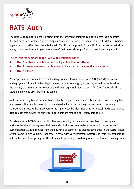<span id="page-10-0"></span>

# **RATS-Auth**

The RATS-Auth reputation list is distinct from the previous SpamRATS reputation lists, as it contains IPs that have been detected performing authentication attacks. It should be used to detect suspicious login attempts, rather than unwanted email. This list is comprised of static IPs from networks that either allow, or are unable to mitigate, the abuse of their networks to perform password guessing attacks.

**The criteria for additions to the RATS-Auth reputation list is:**

- **The IP has been detected as performing authentication attacks**
- **The IP is from a network that is known to be a source of authentication attacks**
- **The IP is static**

Proper precautions are made to avoid adding dynamic IPs or Carrier Grade NAT (CGNAT) networks. Adding dynamic IPs could affect legitimate end users from logging in, as they would be punished for the activity that the previous owner of the IP was responsible for. Likewise for CGNAT networks there could be many end users behind the same IP.

Mail operators may find it difficult to effectively mitigate the authentication attacks brute forcing their mail servers. Not only is there a lot of unrelated noise in the mail logs to sift through, but many considerations need to be made before the right IP can be identified as safe to block. RATS-Auth can be used to ease this burden, as our criteria for additions makes it extremely safe to use.

Our stance with RATS-Auth is that it is the responsibility of the network providers to identify and mitigate the abuse coming from their networks. It doesn't seem to be a resource issue, as we see authentication attacks coming from the networks of some of the biggest companies in the world. These attacks come in high volume, from new IPs daily, with very consistent patterns. It feels unreasonable to put the burden of mitigating this threat on mail operators, considering where the threat is coming from.